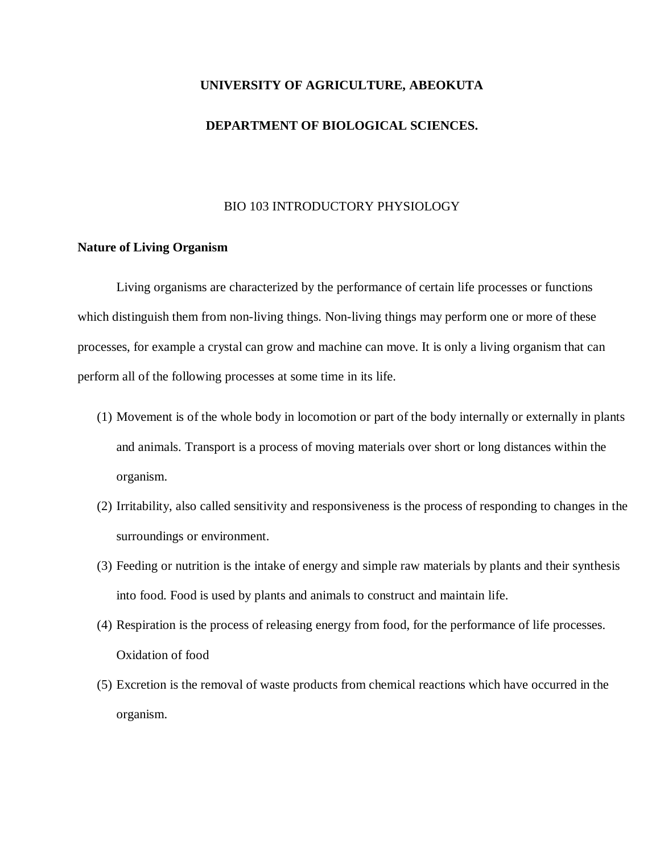# **UNIVERSITY OF AGRICULTURE, ABEOKUTA**

#### **DEPARTMENT OF BIOLOGICAL SCIENCES.**

#### BIO 103 INTRODUCTORY PHYSIOLOGY

#### **Nature of Living Organism**

Living organisms are characterized by the performance of certain life processes or functions which distinguish them from non-living things. Non-living things may perform one or more of these processes, for example a crystal can grow and machine can move. It is only a living organism that can perform all of the following processes at some time in its life.

- (1) Movement is of the whole body in locomotion or part of the body internally or externally in plants and animals. Transport is a process of moving materials over short or long distances within the organism.
- (2) Irritability, also called sensitivity and responsiveness is the process of responding to changes in the surroundings or environment.
- (3) Feeding or nutrition is the intake of energy and simple raw materials by plants and their synthesis into food. Food is used by plants and animals to construct and maintain life.
- (4) Respiration is the process of releasing energy from food, for the performance of life processes. Oxidation of food
- (5) Excretion is the removal of waste products from chemical reactions which have occurred in the organism.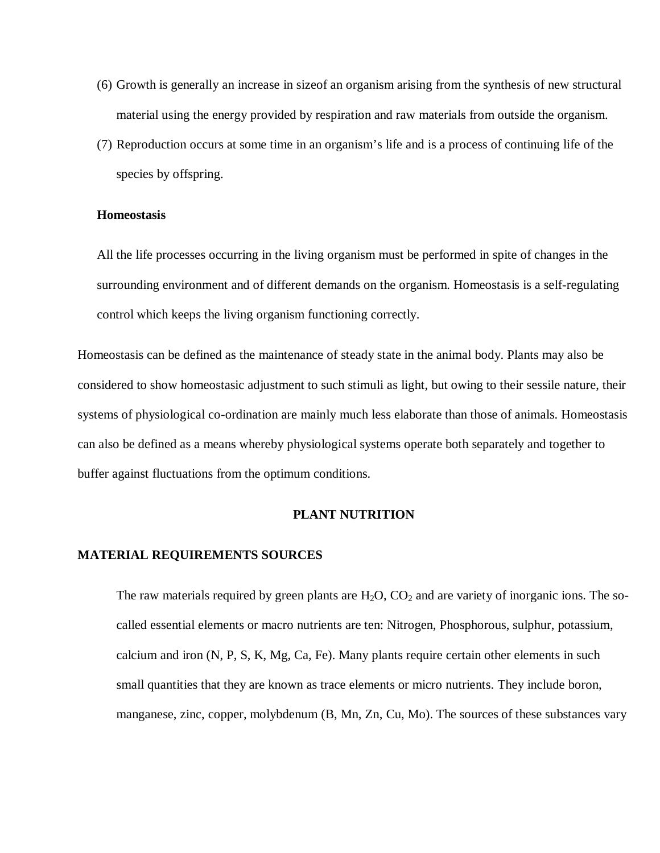- (6) Growth is generally an increase in sizeof an organism arising from the synthesis of new structural material using the energy provided by respiration and raw materials from outside the organism.
- (7) Reproduction occurs at some time in an organism's life and is a process of continuing life of the species by offspring.

### **Homeostasis**

All the life processes occurring in the living organism must be performed in spite of changes in the surrounding environment and of different demands on the organism. Homeostasis is a self-regulating control which keeps the living organism functioning correctly.

Homeostasis can be defined as the maintenance of steady state in the animal body. Plants may also be considered to show homeostasic adjustment to such stimuli as light, but owing to their sessile nature, their systems of physiological co-ordination are mainly much less elaborate than those of animals. Homeostasis can also be defined as a means whereby physiological systems operate both separately and together to buffer against fluctuations from the optimum conditions.

#### **PLANT NUTRITION**

#### **MATERIAL REQUIREMENTS SOURCES**

The raw materials required by green plants are  $H_2O$ ,  $CO_2$  and are variety of inorganic ions. The socalled essential elements or macro nutrients are ten: Nitrogen, Phosphorous, sulphur, potassium, calcium and iron (N, P, S, K, Mg, Ca, Fe). Many plants require certain other elements in such small quantities that they are known as trace elements or micro nutrients. They include boron, manganese, zinc, copper, molybdenum (B, Mn, Zn, Cu, Mo). The sources of these substances vary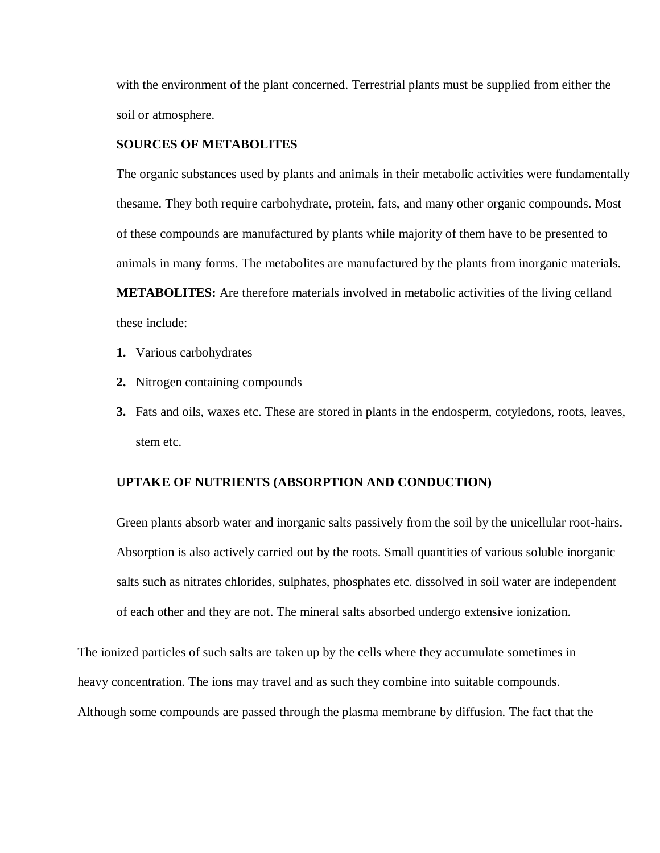with the environment of the plant concerned. Terrestrial plants must be supplied from either the soil or atmosphere.

## **SOURCES OF METABOLITES**

The organic substances used by plants and animals in their metabolic activities were fundamentally thesame. They both require carbohydrate, protein, fats, and many other organic compounds. Most of these compounds are manufactured by plants while majority of them have to be presented to animals in many forms. The metabolites are manufactured by the plants from inorganic materials. **METABOLITES:** Are therefore materials involved in metabolic activities of the living celland these include:

- **1.** Various carbohydrates
- **2.** Nitrogen containing compounds
- **3.** Fats and oils, waxes etc. These are stored in plants in the endosperm, cotyledons, roots, leaves, stem etc.

#### **UPTAKE OF NUTRIENTS (ABSORPTION AND CONDUCTION)**

Green plants absorb water and inorganic salts passively from the soil by the unicellular root-hairs. Absorption is also actively carried out by the roots. Small quantities of various soluble inorganic salts such as nitrates chlorides, sulphates, phosphates etc. dissolved in soil water are independent of each other and they are not. The mineral salts absorbed undergo extensive ionization.

The ionized particles of such salts are taken up by the cells where they accumulate sometimes in heavy concentration. The ions may travel and as such they combine into suitable compounds. Although some compounds are passed through the plasma membrane by diffusion. The fact that the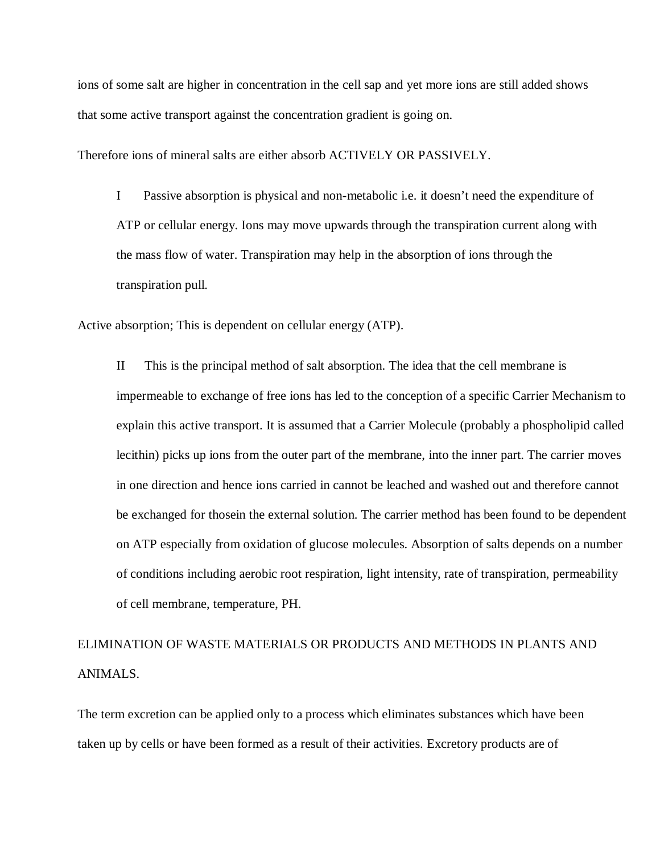ions of some salt are higher in concentration in the cell sap and yet more ions are still added shows that some active transport against the concentration gradient is going on.

Therefore ions of mineral salts are either absorb ACTIVELY OR PASSIVELY.

I Passive absorption is physical and non-metabolic i.e. it doesn't need the expenditure of ATP or cellular energy. Ions may move upwards through the transpiration current along with the mass flow of water. Transpiration may help in the absorption of ions through the transpiration pull.

Active absorption; This is dependent on cellular energy (ATP).

II This is the principal method of salt absorption. The idea that the cell membrane is impermeable to exchange of free ions has led to the conception of a specific Carrier Mechanism to explain this active transport. It is assumed that a Carrier Molecule (probably a phospholipid called lecithin) picks up ions from the outer part of the membrane, into the inner part. The carrier moves in one direction and hence ions carried in cannot be leached and washed out and therefore cannot be exchanged for thosein the external solution. The carrier method has been found to be dependent on ATP especially from oxidation of glucose molecules. Absorption of salts depends on a number of conditions including aerobic root respiration, light intensity, rate of transpiration, permeability of cell membrane, temperature, PH.

# ELIMINATION OF WASTE MATERIALS OR PRODUCTS AND METHODS IN PLANTS AND ANIMALS.

The term excretion can be applied only to a process which eliminates substances which have been taken up by cells or have been formed as a result of their activities. Excretory products are of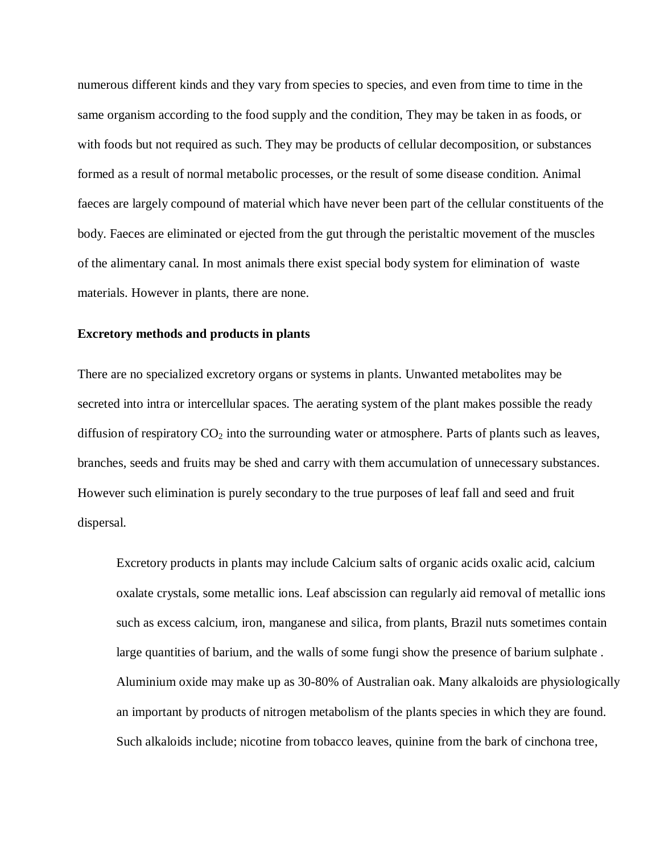numerous different kinds and they vary from species to species, and even from time to time in the same organism according to the food supply and the condition, They may be taken in as foods, or with foods but not required as such. They may be products of cellular decomposition, or substances formed as a result of normal metabolic processes, or the result of some disease condition. Animal faeces are largely compound of material which have never been part of the cellular constituents of the body. Faeces are eliminated or ejected from the gut through the peristaltic movement of the muscles of the alimentary canal. In most animals there exist special body system for elimination of waste materials. However in plants, there are none.

#### **Excretory methods and products in plants**

There are no specialized excretory organs or systems in plants. Unwanted metabolites may be secreted into intra or intercellular spaces. The aerating system of the plant makes possible the ready diffusion of respiratory  $CO<sub>2</sub>$  into the surrounding water or atmosphere. Parts of plants such as leaves, branches, seeds and fruits may be shed and carry with them accumulation of unnecessary substances. However such elimination is purely secondary to the true purposes of leaf fall and seed and fruit dispersal.

Excretory products in plants may include Calcium salts of organic acids oxalic acid, calcium oxalate crystals, some metallic ions. Leaf abscission can regularly aid removal of metallic ions such as excess calcium, iron, manganese and silica, from plants, Brazil nuts sometimes contain large quantities of barium, and the walls of some fungi show the presence of barium sulphate . Aluminium oxide may make up as 30-80% of Australian oak. Many alkaloids are physiologically an important by products of nitrogen metabolism of the plants species in which they are found. Such alkaloids include; nicotine from tobacco leaves, quinine from the bark of cinchona tree,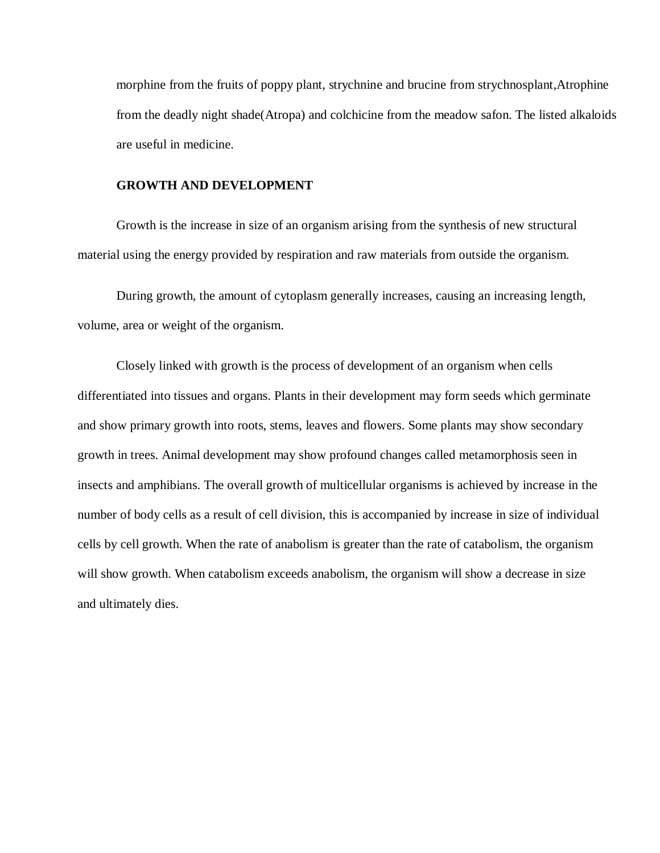morphine from the fruits of poppy plant, strychnine and brucine from strychnosplant,Atrophine from the deadly night shade(Atropa) and colchicine from the meadow safon. The listed alkaloids are useful in medicine.

#### **GROWTH AND DEVELOPMENT**

Growth is the increase in size of an organism arising from the synthesis of new structural material using the energy provided by respiration and raw materials from outside the organism.

During growth, the amount of cytoplasm generally increases, causing an increasing length, volume, area or weight of the organism.

Closely linked with growth is the process of development of an organism when cells differentiated into tissues and organs. Plants in their development may form seeds which germinate and show primary growth into roots, stems, leaves and flowers. Some plants may show secondary growth in trees. Animal development may show profound changes called metamorphosis seen in insects and amphibians. The overall growth of multicellular organisms is achieved by increase in the number of body cells as a result of cell division, this is accompanied by increase in size of individual cells by cell growth. When the rate of anabolism is greater than the rate of catabolism, the organism will show growth. When catabolism exceeds anabolism, the organism will show a decrease in size and ultimately dies.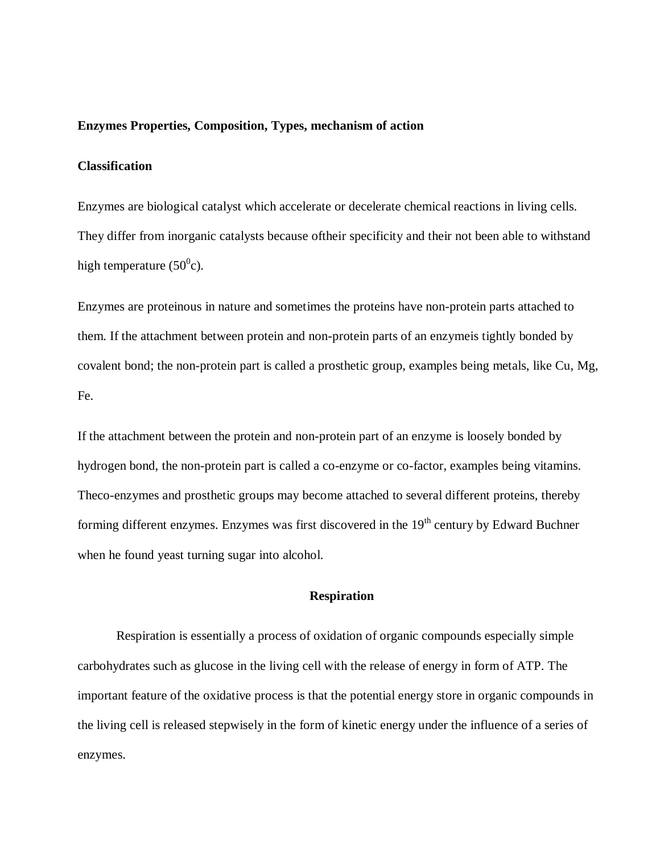#### **Enzymes Properties, Composition, Types, mechanism of action**

#### **Classification**

Enzymes are biological catalyst which accelerate or decelerate chemical reactions in living cells. They differ from inorganic catalysts because oftheir specificity and their not been able to withstand high temperature (50 $^0$ c).

Enzymes are proteinous in nature and sometimes the proteins have non-protein parts attached to them. If the attachment between protein and non-protein parts of an enzymeis tightly bonded by covalent bond; the non-protein part is called a prosthetic group, examples being metals, like Cu, Mg, Fe.

If the attachment between the protein and non-protein part of an enzyme is loosely bonded by hydrogen bond, the non-protein part is called a co-enzyme or co-factor, examples being vitamins. Theco-enzymes and prosthetic groups may become attached to several different proteins, thereby forming different enzymes. Enzymes was first discovered in the  $19<sup>th</sup>$  century by Edward Buchner when he found yeast turning sugar into alcohol.

#### **Respiration**

Respiration is essentially a process of oxidation of organic compounds especially simple carbohydrates such as glucose in the living cell with the release of energy in form of ATP. The important feature of the oxidative process is that the potential energy store in organic compounds in the living cell is released stepwisely in the form of kinetic energy under the influence of a series of enzymes.